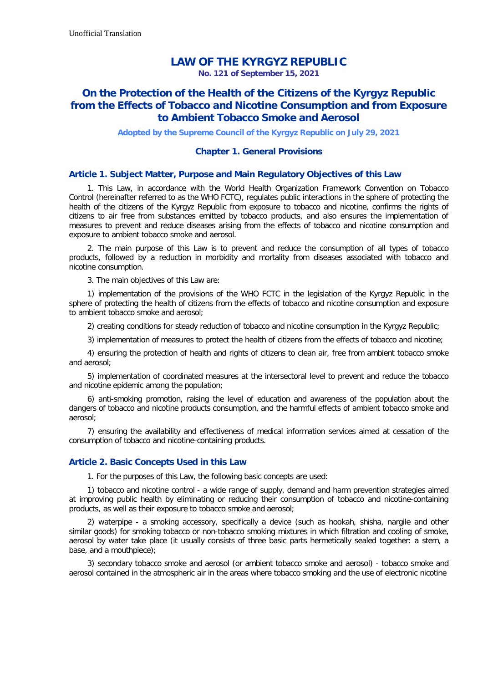# **LAW OF THE KYRGYZ REPUBLIC**

**No. 121 of September 15, 2021**

# **On the Protection of the Health of the Citizens of the Kyrgyz Republic from the Effects of Tobacco and Nicotine Consumption and from Exposure to Ambient Tobacco Smoke and Aerosol**

**Adopted by the Supreme Council of the Kyrgyz Republic on July 29, 2021**

## **Chapter 1. General Provisions**

### **Article 1. Subject Matter, Purpose and Main Regulatory Objectives of this Law**

1. This Law, in accordance with the World Health Organization Framework Convention on Tobacco Control (hereinafter referred to as the WHO FCTC), regulates public interactions in the sphere of protecting the health of the citizens of the Kyrgyz Republic from exposure to tobacco and nicotine, confirms the rights of citizens to air free from substances emitted by tobacco products, and also ensures the implementation of measures to prevent and reduce diseases arising from the effects of tobacco and nicotine consumption and exposure to ambient tobacco smoke and aerosol.

2. The main purpose of this Law is to prevent and reduce the consumption of all types of tobacco products, followed by a reduction in morbidity and mortality from diseases associated with tobacco and nicotine consumption.

3. The main objectives of this Law are:

1) implementation of the provisions of the WHO FCTC in the legislation of the Kyrgyz Republic in the sphere of protecting the health of citizens from the effects of tobacco and nicotine consumption and exposure to ambient tobacco smoke and aerosol;

2) creating conditions for steady reduction of tobacco and nicotine consumption in the Kyrgyz Republic;

3) implementation of measures to protect the health of citizens from the effects of tobacco and nicotine;

4) ensuring the protection of health and rights of citizens to clean air, free from ambient tobacco smoke and aerosol;

5) implementation of coordinated measures at the intersectoral level to prevent and reduce the tobacco and nicotine epidemic among the population;

6) anti-smoking promotion, raising the level of education and awareness of the population about the dangers of tobacco and nicotine products consumption, and the harmful effects of ambient tobacco smoke and aerosol;

7) ensuring the availability and effectiveness of medical information services aimed at cessation of the consumption of tobacco and nicotine-containing products.

### **Article 2. Basic Concepts Used in this Law**

1. For the purposes of this Law, the following basic concepts are used:

1) tobacco and nicotine control - a wide range of supply, demand and harm prevention strategies aimed at improving public health by eliminating or reducing their consumption of tobacco and nicotine-containing products, as well as their exposure to tobacco smoke and aerosol;

2) waterpipe - a smoking accessory, specifically a device (such as hookah, shisha, nargile and other similar goods) for smoking tobacco or non-tobacco smoking mixtures in which filtration and cooling of smoke, aerosol by water take place (it usually consists of three basic parts hermetically sealed together: a stem, a base, and a mouthpiece);

3) secondary tobacco smoke and aerosol (or ambient tobacco smoke and aerosol) - tobacco smoke and aerosol contained in the atmospheric air in the areas where tobacco smoking and the use of electronic nicotine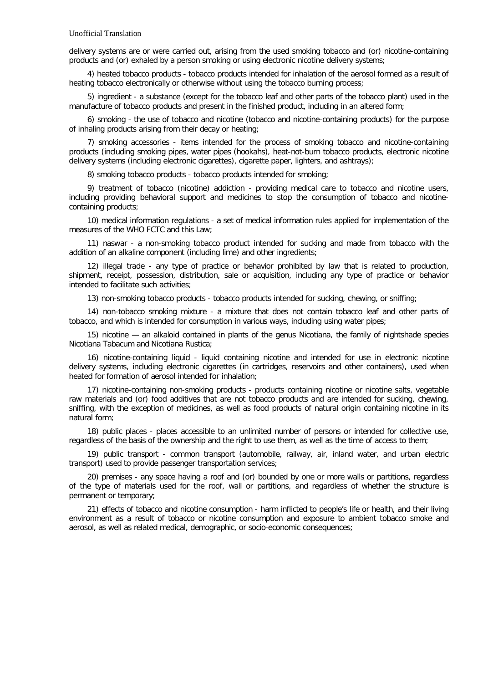delivery systems are or were carried out, arising from the used smoking tobacco and (or) nicotine-containing products and (or) exhaled by a person smoking or using electronic nicotine delivery systems;

4) heated tobacco products - tobacco products intended for inhalation of the aerosol formed as a result of heating tobacco electronically or otherwise without using the tobacco burning process;

5) ingredient - a substance (except for the tobacco leaf and other parts of the tobacco plant) used in the manufacture of tobacco products and present in the finished product, including in an altered form;

6) smoking - the use of tobacco and nicotine (tobacco and nicotine-containing products) for the purpose of inhaling products arising from their decay or heating;

7) smoking accessories - items intended for the process of smoking tobacco and nicotine-containing products (including smoking pipes, water pipes (hookahs), heat-not-burn tobacco products, electronic nicotine delivery systems (including electronic cigarettes), cigarette paper, lighters, and ashtrays);

8) smoking tobacco products - tobacco products intended for smoking;

9) treatment of tobacco (nicotine) addiction - providing medical care to tobacco and nicotine users, including providing behavioral support and medicines to stop the consumption of tobacco and nicotinecontaining products;

10) medical information regulations - a set of medical information rules applied for implementation of the measures of the WHO FCTC and this Law;

11) naswar - a non-smoking tobacco product intended for sucking and made from tobacco with the addition of an alkaline component (including lime) and other ingredients;

12) illegal trade - any type of practice or behavior prohibited by law that is related to production, shipment, receipt, possession, distribution, sale or acquisition, including any type of practice or behavior intended to facilitate such activities;

13) non-smoking tobacco products - tobacco products intended for sucking, chewing, or sniffing;

14) non-tobacco smoking mixture - a mixture that does not contain tobacco leaf and other parts of tobacco, and which is intended for consumption in various ways, including using water pipes;

15) nicotine — an alkaloid contained in plants of the genus Nicotiana, the family of nightshade species Nicotiana Tabacum and Nicotiana Rustica;

16) nicotine-containing liquid - liquid containing nicotine and intended for use in electronic nicotine delivery systems, including electronic cigarettes (in cartridges, reservoirs and other containers), used when heated for formation of aerosol intended for inhalation;

17) nicotine-containing non-smoking products - products containing nicotine or nicotine salts, vegetable raw materials and (or) food additives that are not tobacco products and are intended for sucking, chewing, sniffing, with the exception of medicines, as well as food products of natural origin containing nicotine in its natural form;

18) public places - places accessible to an unlimited number of persons or intended for collective use, regardless of the basis of the ownership and the right to use them, as well as the time of access to them;

19) public transport - common transport (automobile, railway, air, inland water, and urban electric transport) used to provide passenger transportation services;

20) premises - any space having a roof and (or) bounded by one or more walls or partitions, regardless of the type of materials used for the roof, wall or partitions, and regardless of whether the structure is permanent or temporary;

21) effects of tobacco and nicotine consumption - harm inflicted to people's life or health, and their living environment as a result of tobacco or nicotine consumption and exposure to ambient tobacco smoke and aerosol, as well as related medical, demographic, or socio-economic consequences;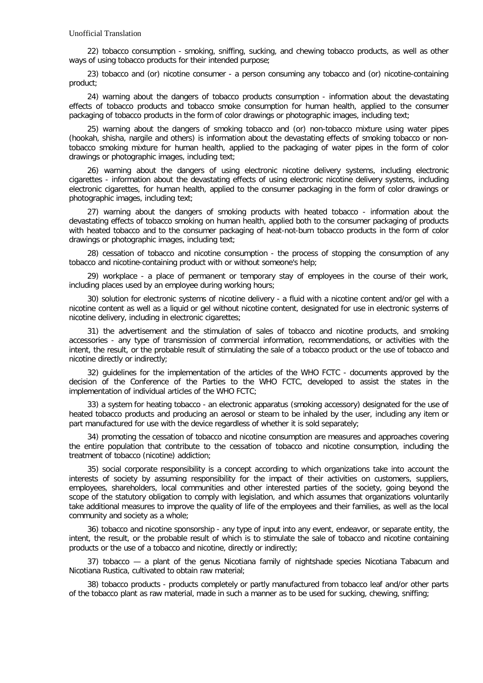22) tobacco consumption - smoking, sniffing, sucking, and chewing tobacco products, as well as other ways of using tobacco products for their intended purpose;

23) tobacco and (or) nicotine consumer - a person consuming any tobacco and (or) nicotine-containing product;

24) warning about the dangers of tobacco products consumption - information about the devastating effects of tobacco products and tobacco smoke consumption for human health, applied to the consumer packaging of tobacco products in the form of color drawings or photographic images, including text;

25) warning about the dangers of smoking tobacco and (or) non-tobacco mixture using water pipes (hookah, shisha, nargile and others) is information about the devastating effects of smoking tobacco or nontobacco smoking mixture for human health, applied to the packaging of water pipes in the form of color drawings or photographic images, including text;

26) warning about the dangers of using electronic nicotine delivery systems, including electronic cigarettes - information about the devastating effects of using electronic nicotine delivery systems, including electronic cigarettes, for human health, applied to the consumer packaging in the form of color drawings or photographic images, including text;

27) warning about the dangers of smoking products with heated tobacco - information about the devastating effects of tobacco smoking on human health, applied both to the consumer packaging of products with heated tobacco and to the consumer packaging of heat-not-burn tobacco products in the form of color drawings or photographic images, including text;

28) cessation of tobacco and nicotine consumption - the process of stopping the consumption of any tobacco and nicotine-containing product with or without someone's help;

29) workplace - a place of permanent or temporary stay of employees in the course of their work, including places used by an employee during working hours;

30) solution for electronic systems of nicotine delivery - a fluid with a nicotine content and/or gel with a nicotine content as well as a liquid or gel without nicotine content, designated for use in electronic systems of nicotine delivery, including in electronic cigarettes;

31) the advertisement and the stimulation of sales of tobacco and nicotine products, and smoking accessories - any type of transmission of commercial information, recommendations, or activities with the intent, the result, or the probable result of stimulating the sale of a tobacco product or the use of tobacco and nicotine directly or indirectly;

32) guidelines for the implementation of the articles of the WHO FCTC - documents approved by the decision of the Conference of the Parties to the WHO FCTC, developed to assist the states in the implementation of individual articles of the WHO FCTC;

33) a system for heating tobacco - an electronic apparatus (smoking accessory) designated for the use of heated tobacco products and producing an aerosol or steam to be inhaled by the user, including any item or part manufactured for use with the device regardless of whether it is sold separately;

34) promoting the cessation of tobacco and nicotine consumption are measures and approaches covering the entire population that contribute to the cessation of tobacco and nicotine consumption, including the treatment of tobacco (nicotine) addiction;

35) social corporate responsibility is a concept according to which organizations take into account the interests of society by assuming responsibility for the impact of their activities on customers, suppliers, employees, shareholders, local communities and other interested parties of the society, going beyond the scope of the statutory obligation to comply with legislation, and which assumes that organizations voluntarily take additional measures to improve the quality of life of the employees and their families, as well as the local community and society as a whole;

36) tobacco and nicotine sponsorship - any type of input into any event, endeavor, or separate entity, the intent, the result, or the probable result of which is to stimulate the sale of tobacco and nicotine containing products or the use of a tobacco and nicotine, directly or indirectly;

37) tobacco — a plant of the genus Nicotiana family of nightshade species Nicotiana Tabacum and Nicotiana Rustica, cultivated to obtain raw material;

38) tobacco products - products completely or partly manufactured from tobacco leaf and/or other parts of the tobacco plant as raw material, made in such a manner as to be used for sucking, chewing, sniffing;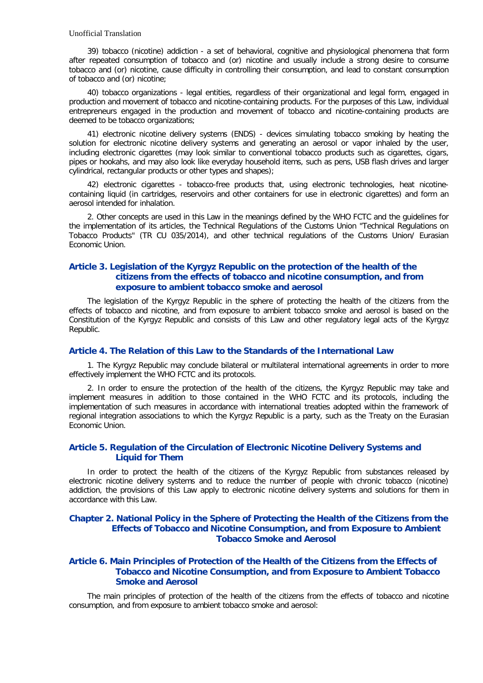39) tobacco (nicotine) addiction - a set of behavioral, cognitive and physiological phenomena that form after repeated consumption of tobacco and (or) nicotine and usually include a strong desire to consume tobacco and (or) nicotine, cause difficulty in controlling their consumption, and lead to constant consumption of tobacco and (or) nicotine;

40) tobacco organizations - legal entities, regardless of their organizational and legal form, engaged in production and movement of tobacco and nicotine-containing products. For the purposes of this Law, individual entrepreneurs engaged in the production and movement of tobacco and nicotine-containing products are deemed to be tobacco organizations;

41) electronic nicotine delivery systems (ENDS) - devices simulating tobacco smoking by heating the solution for electronic nicotine delivery systems and generating an aerosol or vapor inhaled by the user, including electronic cigarettes (may look similar to conventional tobacco products such as cigarettes, cigars, pipes or hookahs, and may also look like everyday household items, such as pens, USB flash drives and larger cylindrical, rectangular products or other types and shapes);

42) electronic cigarettes - tobacco-free products that, using electronic technologies, heat nicotinecontaining liquid (in cartridges, reservoirs and other containers for use in electronic cigarettes) and form an aerosol intended for inhalation.

2. Other concepts are used in this Law in the meanings defined by the WHO FCTC and the guidelines for the implementation of its articles, the Technical Regulations of the Customs Union "Technical Regulations on Tobacco Products" (TR CU 035/2014), and other technical regulations of the Customs Union/ Eurasian Economic Union.

## **Article 3. Legislation of the Kyrgyz Republic on the protection of the health of the citizens from the effects of tobacco and nicotine consumption, and from exposure to ambient tobacco smoke and aerosol**

The legislation of the Kyrgyz Republic in the sphere of protecting the health of the citizens from the effects of tobacco and nicotine, and from exposure to ambient tobacco smoke and aerosol is based on the Constitution of the Kyrgyz Republic and consists of this Law and other regulatory legal acts of the Kyrgyz Republic.

## **Article 4. The Relation of this Law to the Standards of the International Law**

1. The Kyrgyz Republic may conclude bilateral or multilateral international agreements in order to more effectively implement the WHO FCTC and its protocols.

2. In order to ensure the protection of the health of the citizens, the Kyrgyz Republic may take and implement measures in addition to those contained in the WHO FCTC and its protocols, including the implementation of such measures in accordance with international treaties adopted within the framework of regional integration associations to which the Kyrgyz Republic is a party, such as the Treaty on the Eurasian Economic Union.

## **Article 5. Regulation of the Circulation of Electronic Nicotine Delivery Systems and Liquid for Them**

In order to protect the health of the citizens of the Kyrgyz Republic from substances released by electronic nicotine delivery systems and to reduce the number of people with chronic tobacco (nicotine) addiction, the provisions of this Law apply to electronic nicotine delivery systems and solutions for them in accordance with this Law.

## **Chapter 2. National Policy in the Sphere of Protecting the Health of the Citizens from the Effects of Tobacco and Nicotine Consumption, and from Exposure to Ambient Tobacco Smoke and Aerosol**

## **Article 6. Main Principles of Protection of the Health of the Citizens from the Effects of Tobacco and Nicotine Consumption, and from Exposure to Ambient Tobacco Smoke and Aerosol**

The main principles of protection of the health of the citizens from the effects of tobacco and nicotine consumption, and from exposure to ambient tobacco smoke and aerosol: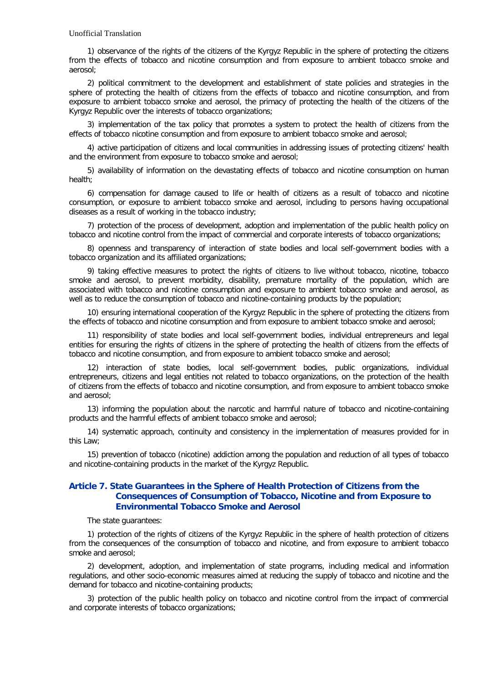1) observance of the rights of the citizens of the Kyrgyz Republic in the sphere of protecting the citizens from the effects of tobacco and nicotine consumption and from exposure to ambient tobacco smoke and aerosol;

2) political commitment to the development and establishment of state policies and strategies in the sphere of protecting the health of citizens from the effects of tobacco and nicotine consumption, and from exposure to ambient tobacco smoke and aerosol, the primacy of protecting the health of the citizens of the Kyrgyz Republic over the interests of tobacco organizations;

3) implementation of the tax policy that promotes a system to protect the health of citizens from the effects of tobacco nicotine consumption and from exposure to ambient tobacco smoke and aerosol;

4) active participation of citizens and local communities in addressing issues of protecting citizens' health and the environment from exposure to tobacco smoke and aerosol;

5) availability of information on the devastating effects of tobacco and nicotine consumption on human health;

6) compensation for damage caused to life or health of citizens as a result of tobacco and nicotine consumption, or exposure to ambient tobacco smoke and aerosol, including to persons having occupational diseases as a result of working in the tobacco industry;

7) protection of the process of development, adoption and implementation of the public health policy on tobacco and nicotine control from the impact of commercial and corporate interests of tobacco organizations;

8) openness and transparency of interaction of state bodies and local self-government bodies with a tobacco organization and its affiliated organizations;

9) taking effective measures to protect the rights of citizens to live without tobacco, nicotine, tobacco smoke and aerosol, to prevent morbidity, disability, premature mortality of the population, which are associated with tobacco and nicotine consumption and exposure to ambient tobacco smoke and aerosol, as well as to reduce the consumption of tobacco and nicotine-containing products by the population;

10) ensuring international cooperation of the Kyrgyz Republic in the sphere of protecting the citizens from the effects of tobacco and nicotine consumption and from exposure to ambient tobacco smoke and aerosol;

11) responsibility of state bodies and local self-government bodies, individual entrepreneurs and legal entities for ensuring the rights of citizens in the sphere of protecting the health of citizens from the effects of tobacco and nicotine consumption, and from exposure to ambient tobacco smoke and aerosol;

12) interaction of state bodies, local self-government bodies, public organizations, individual entrepreneurs, citizens and legal entities not related to tobacco organizations, on the protection of the health of citizens from the effects of tobacco and nicotine consumption, and from exposure to ambient tobacco smoke and aerosol;

13) informing the population about the narcotic and harmful nature of tobacco and nicotine-containing products and the harmful effects of ambient tobacco smoke and aerosol;

14) systematic approach, continuity and consistency in the implementation of measures provided for in this Law;

15) prevention of tobacco (nicotine) addiction among the population and reduction of all types of tobacco and nicotine-containing products in the market of the Kyrgyz Republic.

## **Article 7. State Guarantees in the Sphere of Health Protection of Citizens from the Consequences of Consumption of Tobacco, Nicotine and from Exposure to Environmental Tobacco Smoke and Aerosol**

The state guarantees:

1) protection of the rights of citizens of the Kyrgyz Republic in the sphere of health protection of citizens from the consequences of the consumption of tobacco and nicotine, and from exposure to ambient tobacco smoke and aerosol;

2) development, adoption, and implementation of state programs, including medical and information regulations, and other socio-economic measures aimed at reducing the supply of tobacco and nicotine and the demand for tobacco and nicotine-containing products;

3) protection of the public health policy on tobacco and nicotine control from the impact of commercial and corporate interests of tobacco organizations;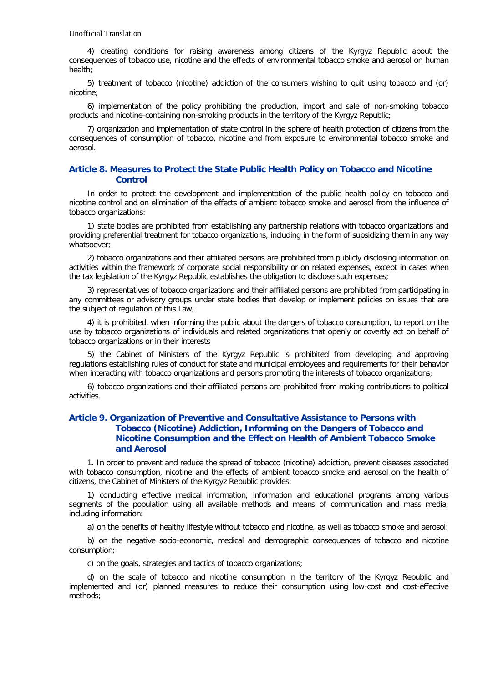4) creating conditions for raising awareness among citizens of the Kyrgyz Republic about the consequences of tobacco use, nicotine and the effects of environmental tobacco smoke and aerosol on human health;

5) treatment of tobacco (nicotine) addiction of the consumers wishing to quit using tobacco and (or) nicotine;

6) implementation of the policy prohibiting the production, import and sale of non-smoking tobacco products and nicotine-containing non-smoking products in the territory of the Kyrgyz Republic;

7) organization and implementation of state control in the sphere of health protection of citizens from the consequences of consumption of tobacco, nicotine and from exposure to environmental tobacco smoke and aerosol.

## **Article 8. Measures to Protect the State Public Health Policy on Tobacco and Nicotine Control**

In order to protect the development and implementation of the public health policy on tobacco and nicotine control and on elimination of the effects of ambient tobacco smoke and aerosol from the influence of tobacco organizations:

1) state bodies are prohibited from establishing any partnership relations with tobacco organizations and providing preferential treatment for tobacco organizations, including in the form of subsidizing them in any way whatsoever;

2) tobacco organizations and their affiliated persons are prohibited from publicly disclosing information on activities within the framework of corporate social responsibility or on related expenses, except in cases when the tax legislation of the Kyrgyz Republic establishes the obligation to disclose such expenses;

3) representatives of tobacco organizations and their affiliated persons are prohibited from participating in any committees or advisory groups under state bodies that develop or implement policies on issues that are the subject of regulation of this Law;

4) it is prohibited, when informing the public about the dangers of tobacco consumption, to report on the use by tobacco organizations of individuals and related organizations that openly or covertly act on behalf of tobacco organizations or in their interests

5) the Cabinet of Ministers of the Kyrgyz Republic is prohibited from developing and approving regulations establishing rules of conduct for state and municipal employees and requirements for their behavior when interacting with tobacco organizations and persons promoting the interests of tobacco organizations;

6) tobacco organizations and their affiliated persons are prohibited from making contributions to political activities.

## **Article 9. Organization of Preventive and Consultative Assistance to Persons with Tobacco (Nicotine) Addiction, Informing on the Dangers of Tobacco and Nicotine Consumption and the Effect on Health of Ambient Tobacco Smoke and Aerosol**

1. In order to prevent and reduce the spread of tobacco (nicotine) addiction, prevent diseases associated with tobacco consumption, nicotine and the effects of ambient tobacco smoke and aerosol on the health of citizens, the Cabinet of Ministers of the Kyrgyz Republic provides:

1) conducting effective medical information, information and educational programs among various segments of the population using all available methods and means of communication and mass media, including information:

a) on the benefits of healthy lifestyle without tobacco and nicotine, as well as tobacco smoke and aerosol;

b) on the negative socio-economic, medical and demographic consequences of tobacco and nicotine consumption;

c) on the goals, strategies and tactics of tobacco organizations;

d) on the scale of tobacco and nicotine consumption in the territory of the Kyrgyz Republic and implemented and (or) planned measures to reduce their consumption using low-cost and cost-effective methods;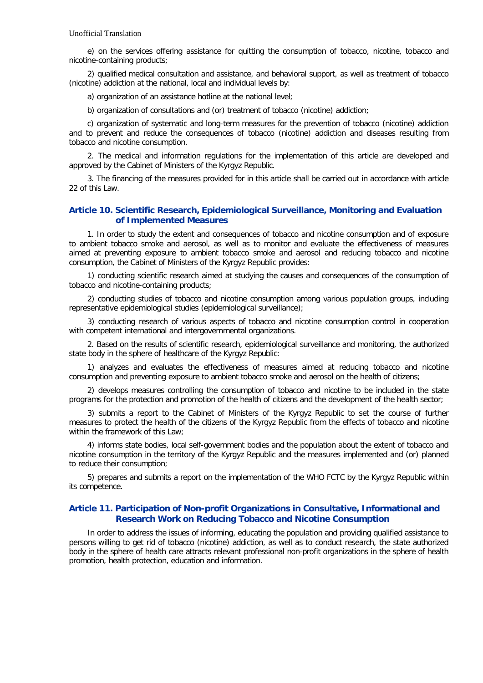e) on the services offering assistance for quitting the consumption of tobacco, nicotine, tobacco and nicotine-containing products;

2) qualified medical consultation and assistance, and behavioral support, as well as treatment of tobacco (nicotine) addiction at the national, local and individual levels by:

a) organization of an assistance hotline at the national level;

b) organization of consultations and (or) treatment of tobacco (nicotine) addiction;

c) organization of systematic and long-term measures for the prevention of tobacco (nicotine) addiction and to prevent and reduce the consequences of tobacco (nicotine) addiction and diseases resulting from tobacco and nicotine consumption.

2. The medical and information regulations for the implementation of this article are developed and approved by the Cabinet of Ministers of the Kyrgyz Republic.

3. The financing of the measures provided for in this article shall be carried out in accordance with article 22 of this Law.

## **Article 10. Scientific Research, Epidemiological Surveillance, Monitoring and Evaluation of Implemented Measures**

1. In order to study the extent and consequences of tobacco and nicotine consumption and of exposure to ambient tobacco smoke and aerosol, as well as to monitor and evaluate the effectiveness of measures aimed at preventing exposure to ambient tobacco smoke and aerosol and reducing tobacco and nicotine consumption, the Cabinet of Ministers of the Kyrgyz Republic provides:

1) conducting scientific research aimed at studying the causes and consequences of the consumption of tobacco and nicotine-containing products;

2) conducting studies of tobacco and nicotine consumption among various population groups, including representative epidemiological studies (epidemiological surveillance);

3) conducting research of various aspects of tobacco and nicotine consumption control in cooperation with competent international and intergovernmental organizations.

2. Based on the results of scientific research, epidemiological surveillance and monitoring, the authorized state body in the sphere of healthcare of the Kyrgyz Republic:

1) analyzes and evaluates the effectiveness of measures aimed at reducing tobacco and nicotine consumption and preventing exposure to ambient tobacco smoke and aerosol on the health of citizens;

2) develops measures controlling the consumption of tobacco and nicotine to be included in the state programs for the protection and promotion of the health of citizens and the development of the health sector;

3) submits a report to the Cabinet of Ministers of the Kyrgyz Republic to set the course of further measures to protect the health of the citizens of the Kyrgyz Republic from the effects of tobacco and nicotine within the framework of this Law;

4) informs state bodies, local self-government bodies and the population about the extent of tobacco and nicotine consumption in the territory of the Kyrgyz Republic and the measures implemented and (or) planned to reduce their consumption;

5) prepares and submits a report on the implementation of the WHO FCTC by the Kyrgyz Republic within its competence.

## **Article 11. Participation of Non-profit Organizations in Consultative, Informational and Research Work on Reducing Tobacco and Nicotine Consumption**

In order to address the issues of informing, educating the population and providing qualified assistance to persons willing to get rid of tobacco (nicotine) addiction, as well as to conduct research, the state authorized body in the sphere of health care attracts relevant professional non-profit organizations in the sphere of health promotion, health protection, education and information.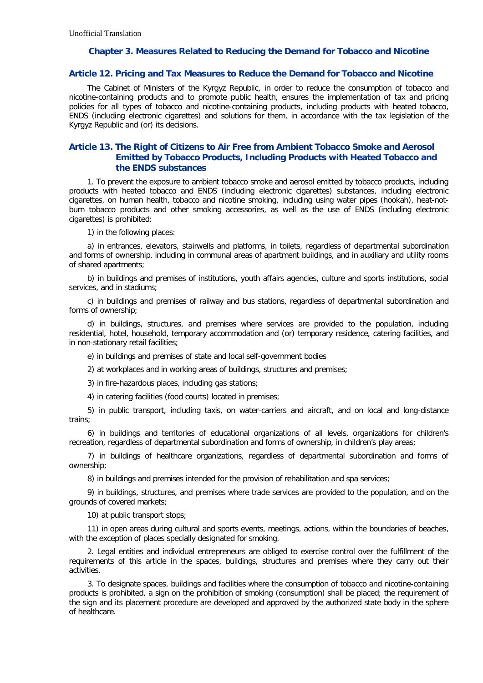## **Chapter 3. Measures Related to Reducing the Demand for Tobacco and Nicotine**

### **Article 12. Pricing and Tax Measures to Reduce the Demand for Tobacco and Nicotine**

The Cabinet of Ministers of the Kyrgyz Republic, in order to reduce the consumption of tobacco and nicotine-containing products and to promote public health, ensures the implementation of tax and pricing policies for all types of tobacco and nicotine-containing products, including products with heated tobacco, ENDS (including electronic cigarettes) and solutions for them, in accordance with the tax legislation of the Kyrgyz Republic and (or) its decisions.

## **Article 13. The Right of Citizens to Air Free from Ambient Tobacco Smoke and Aerosol Emitted by Tobacco Products, Including Products with Heated Tobacco and the ENDS substances**

1. To prevent the exposure to ambient tobacco smoke and aerosol emitted by tobacco products, including products with heated tobacco and ENDS (including electronic cigarettes) substances, including electronic cigarettes, on human health, tobacco and nicotine smoking, including using water pipes (hookah), heat-notburn tobacco products and other smoking accessories, as well as the use of ENDS (including electronic cigarettes) is prohibited:

1) in the following places:

a) in entrances, elevators, stairwells and platforms, in toilets, regardless of departmental subordination and forms of ownership, including in communal areas of apartment buildings, and in auxiliary and utility rooms of shared apartments;

b) in buildings and premises of institutions, youth affairs agencies, culture and sports institutions, social services, and in stadiums;

c) in buildings and premises of railway and bus stations, regardless of departmental subordination and forms of ownership;

d) in buildings, structures, and premises where services are provided to the population, including residential, hotel, household, temporary accommodation and (or) temporary residence, catering facilities, and in non-stationary retail facilities;

e) in buildings and premises of state and local self-government bodies

2) at workplaces and in working areas of buildings, structures and premises;

3) in fire-hazardous places, including gas stations;

4) in catering facilities (food courts) located in premises;

5) in public transport, including taxis, on water-carriers and aircraft, and on local and long-distance trains;

6) in buildings and territories of educational organizations of all levels, organizations for children's recreation, regardless of departmental subordination and forms of ownership, in children's play areas;

7) in buildings of healthcare organizations, regardless of departmental subordination and forms of ownership;

8) in buildings and premises intended for the provision of rehabilitation and spa services;

9) in buildings, structures, and premises where trade services are provided to the population, and on the grounds of covered markets;

10) at public transport stops;

11) in open areas during cultural and sports events, meetings, actions, within the boundaries of beaches, with the exception of places specially designated for smoking.

2. Legal entities and individual entrepreneurs are obliged to exercise control over the fulfillment of the requirements of this article in the spaces, buildings, structures and premises where they carry out their activities.

3. To designate spaces, buildings and facilities where the consumption of tobacco and nicotine-containing products is prohibited, a sign on the prohibition of smoking (consumption) shall be placed; the requirement of the sign and its placement procedure are developed and approved by the authorized state body in the sphere of healthcare.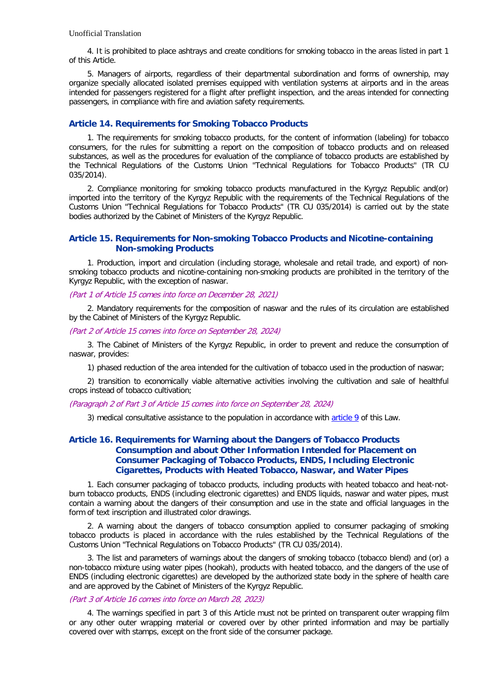4. It is prohibited to place ashtrays and create conditions for smoking tobacco in the areas listed in part 1 of this Article.

5. Managers of airports, regardless of their departmental subordination and forms of ownership, may organize specially allocated isolated premises equipped with ventilation systems at airports and in the areas intended for passengers registered for a flight after preflight inspection, and the areas intended for connecting passengers, in compliance with fire and aviation safety requirements.

### **Article 14. Requirements for Smoking Tobacco Products**

1. The requirements for smoking tobacco products, for the content of information (labeling) for tobacco consumers, for the rules for submitting a report on the composition of tobacco products and on released substances, as well as the procedures for evaluation of the compliance of tobacco products are established by the Technical Regulations of the Customs Union "Technical Regulations for Tobacco Products" (TR CU 035/2014).

2. Compliance monitoring for smoking tobacco products manufactured in the Kyrgyz Republic and(or) imported into the territory of the Kyrgyz Republic with the requirements of the Technical Regulations of the Customs Union "Technical Regulations for Tobacco Products" (TR CU 035/2014) is carried out by the state bodies authorized by the Cabinet of Ministers of the Kyrgyz Republic.

### **Article 15. Requirements for Non-smoking Tobacco Products and Nicotine-containing Non-smoking Products**

1. Production, import and circulation (including storage, wholesale and retail trade, and export) of nonsmoking tobacco products and nicotine-containing non-smoking products are prohibited in the territory of the Kyrgyz Republic, with the exception of naswar.

#### (Part 1 of Article 15 comes into force on December 28, 2021)

2. Mandatory requirements for the composition of naswar and the rules of its circulation are established by the Cabinet of Ministers of the Kyrgyz Republic.

#### (Part 2 of Article 15 comes into force on September 28, 2024)

3. The Cabinet of Ministers of the Kyrgyz Republic, in order to prevent and reduce the consumption of naswar, provides:

1) phased reduction of the area intended for the cultivation of tobacco used in the production of naswar;

2) transition to economically viable alternative activities involving the cultivation and sale of healthful crops instead of tobacco cultivation;

#### (Paragraph 2 of Part 3 of Article 15 comes into force on September 28, 2024)

3) medical consultative assistance to the population in accordance with [article 9](http://base.spinform.ru/show_doc.fwx?rgn=134951#A000000011) of this Law.

## **Article 16. Requirements for Warning about the Dangers of Tobacco Products Consumption and about Other Information Intended for Placement on Consumer Packaging of Tobacco Products, ENDS, Including Electronic Cigarettes, Products with Heated Tobacco, Naswar, and Water Pipes**

1. Each consumer packaging of tobacco products, including products with heated tobacco and heat-notburn tobacco products, ENDS (including electronic cigarettes) and ENDS liquids, naswar and water pipes, must contain a warning about the dangers of their consumption and use in the state and official languages in the form of text inscription and illustrated color drawings.

2. A warning about the dangers of tobacco consumption applied to consumer packaging of smoking tobacco products is placed in accordance with the rules established by the Technical Regulations of the Customs Union "Technical Regulations on Tobacco Products" (TR CU 035/2014).

3. The list and parameters of warnings about the dangers of smoking tobacco (tobacco blend) and (or) a non-tobacco mixture using water pipes (hookah), products with heated tobacco, and the dangers of the use of ENDS (including electronic cigarettes) are developed by the authorized state body in the sphere of health care and are approved by the Cabinet of Ministers of the Kyrgyz Republic.

### (Part 3 of Article 16 comes into force on March 28, 2023)

4. The warnings specified in part 3 of this Article must not be printed on transparent outer wrapping film or any other outer wrapping material or covered over by other printed information and may be partially covered over with stamps, except on the front side of the consumer package.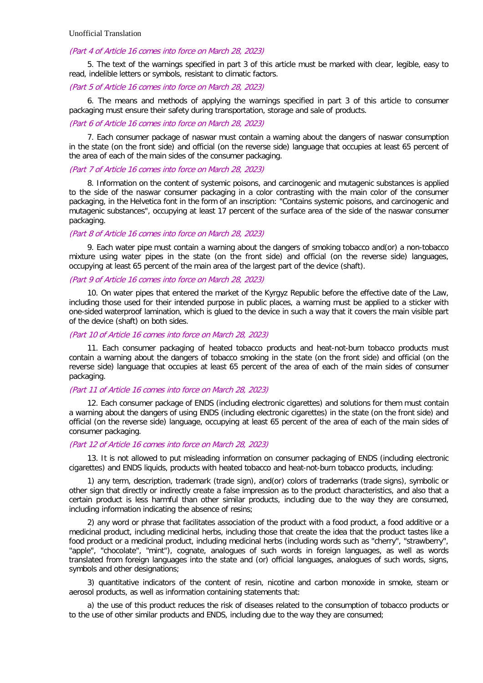#### (Part 4 of Article 16 comes into force on March 28, 2023)

5. The text of the warnings specified in part 3 of this article must be marked with clear, legible, easy to read, indelible letters or symbols, resistant to climatic factors.

### (Part 5 of Article 16 comes into force on March 28, 2023)

6. The means and methods of applying the warnings specified in part 3 of this article to consumer packaging must ensure their safety during transportation, storage and sale of products.

#### (Part 6 of Article 16 comes into force on March 28, 2023)

7. Each consumer package of naswar must contain a warning about the dangers of naswar consumption in the state (on the front side) and official (on the reverse side) language that occupies at least 65 percent of the area of each of the main sides of the consumer packaging.

#### (Part 7 of Article 16 comes into force on March 28, 2023)

8. Information on the content of systemic poisons, and carcinogenic and mutagenic substances is applied to the side of the naswar consumer packaging in a color contrasting with the main color of the consumer packaging, in the Helvetica font in the form of an inscription: "Contains systemic poisons, and carcinogenic and mutagenic substances", occupying at least 17 percent of the surface area of the side of the naswar consumer packaging.

#### (Part 8 of Article 16 comes into force on March 28, 2023)

9. Each water pipe must contain a warning about the dangers of smoking tobacco and(or) a non-tobacco mixture using water pipes in the state (on the front side) and official (on the reverse side) languages, occupying at least 65 percent of the main area of the largest part of the device (shaft).

### (Part 9 of Article 16 comes into force on March 28, 2023)

10. On water pipes that entered the market of the Kyrgyz Republic before the effective date of the Law, including those used for their intended purpose in public places, a warning must be applied to a sticker with one-sided waterproof lamination, which is glued to the device in such a way that it covers the main visible part of the device (shaft) on both sides.

### (Part 10 of Article 16 comes into force on March 28, 2023)

11. Each consumer packaging of heated tobacco products and heat-not-burn tobacco products must contain a warning about the dangers of tobacco smoking in the state (on the front side) and official (on the reverse side) language that occupies at least 65 percent of the area of each of the main sides of consumer packaging.

### (Part 11 of Article 16 comes into force on March 28, 2023)

12. Each consumer package of ENDS (including electronic cigarettes) and solutions for them must contain a warning about the dangers of using ENDS (including electronic cigarettes) in the state (on the front side) and official (on the reverse side) language, occupying at least 65 percent of the area of each of the main sides of consumer packaging.

### (Part 12 of Article 16 comes into force on March 28, 2023)

13. It is not allowed to put misleading information on consumer packaging of ENDS (including electronic cigarettes) and ENDS liquids, products with heated tobacco and heat-not-burn tobacco products, including:

1) any term, description, trademark (trade sign), and(or) colors of trademarks (trade signs), symbolic or other sign that directly or indirectly create a false impression as to the product characteristics, and also that a certain product is less harmful than other similar products, including due to the way they are consumed, including information indicating the absence of resins;

2) any word or phrase that facilitates association of the product with a food product, a food additive or a medicinal product, including medicinal herbs, including those that create the idea that the product tastes like a food product or a medicinal product, including medicinal herbs (including words such as "cherry", "strawberry", "apple", "chocolate", "mint"), cognate, analogues of such words in foreign languages, as well as words translated from foreign languages into the state and (or) official languages, analogues of such words, signs, symbols and other designations;

3) quantitative indicators of the content of resin, nicotine and carbon monoxide in smoke, steam or aerosol products, as well as information containing statements that:

a) the use of this product reduces the risk of diseases related to the consumption of tobacco products or to the use of other similar products and ENDS, including due to the way they are consumed;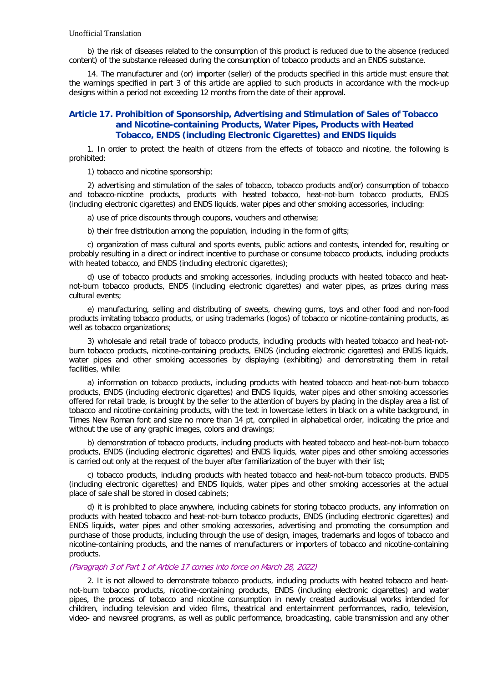b) the risk of diseases related to the consumption of this product is reduced due to the absence (reduced content) of the substance released during the consumption of tobacco products and an ENDS substance.

14. The manufacturer and (or) importer (seller) of the products specified in this article must ensure that the warnings specified in part 3 of this article are applied to such products in accordance with the mock-up designs within a period not exceeding 12 months from the date of their approval.

## **Article 17. Prohibition of Sponsorship, Advertising and Stimulation of Sales of Tobacco and Nicotine-containing Products, Water Pipes, Products with Heated Tobacco, ENDS (including Electronic Cigarettes) and ENDS liquids**

1. In order to protect the health of citizens from the effects of tobacco and nicotine, the following is prohibited:

1) tobacco and nicotine sponsorship;

2) advertising and stimulation of the sales of tobacco, tobacco products and(or) consumption of tobacco and tobacco-nicotine products, products with heated tobacco, heat-not-burn tobacco products, ENDS (including electronic cigarettes) and ENDS liquids, water pipes and other smoking accessories, including:

a) use of price discounts through coupons, vouchers and otherwise;

b) their free distribution among the population, including in the form of gifts;

c) organization of mass cultural and sports events, public actions and contests, intended for, resulting or probably resulting in a direct or indirect incentive to purchase or consume tobacco products, including products with heated tobacco, and ENDS (including electronic cigarettes);

d) use of tobacco products and smoking accessories, including products with heated tobacco and heatnot-burn tobacco products, ENDS (including electronic cigarettes) and water pipes, as prizes during mass cultural events;

e) manufacturing, selling and distributing of sweets, chewing gums, toys and other food and non-food products imitating tobacco products, or using trademarks (logos) of tobacco or nicotine-containing products, as well as tobacco organizations:

3) wholesale and retail trade of tobacco products, including products with heated tobacco and heat-notburn tobacco products, nicotine-containing products, ENDS (including electronic cigarettes) and ENDS liquids, water pipes and other smoking accessories by displaying (exhibiting) and demonstrating them in retail facilities, while:

a) information on tobacco products, including products with heated tobacco and heat-not-burn tobacco products, ENDS (including electronic cigarettes) and ENDS liquids, water pipes and other smoking accessories offered for retail trade, is brought by the seller to the attention of buyers by placing in the display area a list of tobacco and nicotine-containing products, with the text in lowercase letters in black on a white background, in Times New Roman font and size no more than 14 pt, compiled in alphabetical order, indicating the price and without the use of any graphic images, colors and drawings;

b) demonstration of tobacco products, including products with heated tobacco and heat-not-burn tobacco products, ENDS (including electronic cigarettes) and ENDS liquids, water pipes and other smoking accessories is carried out only at the request of the buyer after familiarization of the buyer with their list;

c) tobacco products, including products with heated tobacco and heat-not-burn tobacco products, ENDS (including electronic cigarettes) and ENDS liquids, water pipes and other smoking accessories at the actual place of sale shall be stored in closed cabinets;

d) it is prohibited to place anywhere, including cabinets for storing tobacco products, any information on products with heated tobacco and heat-not-burn tobacco products, ENDS (including electronic cigarettes) and ENDS liquids, water pipes and other smoking accessories, advertising and promoting the consumption and purchase of those products, including through the use of design, images, trademarks and logos of tobacco and nicotine-containing products, and the names of manufacturers or importers of tobacco and nicotine-containing products.

### (Paragraph 3 of Part 1 of Article 17 comes into force on March 28, 2022)

2. It is not allowed to demonstrate tobacco products, including products with heated tobacco and heatnot-burn tobacco products, nicotine-containing products, ENDS (including electronic cigarettes) and water pipes, the process of tobacco and nicotine consumption in newly created audiovisual works intended for children, including television and video films, theatrical and entertainment performances, radio, television, video- and newsreel programs, as well as public performance, broadcasting, cable transmission and any other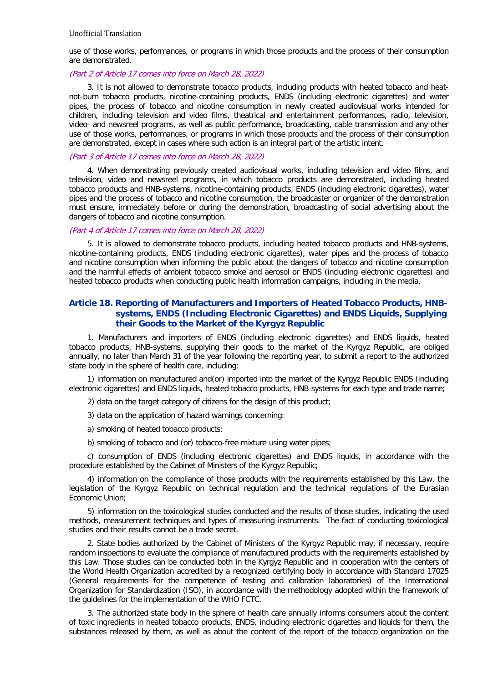use of those works, performances, or programs in which those products and the process of their consumption are demonstrated.

#### (Part 2 of Article 17 comes into force on March 28, 2022)

3. It is not allowed to demonstrate tobacco products, including products with heated tobacco and heatnot-burn tobacco products, nicotine-containing products, ENDS (including electronic cigarettes) and water pipes, the process of tobacco and nicotine consumption in newly created audiovisual works intended for children, including television and video films, theatrical and entertainment performances, radio, television, video- and newsreel programs, as well as public performance, broadcasting, cable transmission and any other use of those works, performances, or programs in which those products and the process of their consumption are demonstrated, except in cases where such action is an integral part of the artistic intent.

#### (Part 3 of Article 17 comes into force on March 28, 2022)

4. When demonstrating previously created audiovisual works, including television and video films, and television, video and newsreel programs, in which tobacco products are demonstrated, including heated tobacco products and HNB-systems, nicotine-containing products, ENDS (including electronic cigarettes), water pipes and the process of tobacco and nicotine consumption, the broadcaster or organizer of the demonstration must ensure, immediately before or during the demonstration, broadcasting of social advertising about the dangers of tobacco and nicotine consumption.

### (Part 4 of Article 17 comes into force on March 28, 2022)

5. It is allowed to demonstrate tobacco products, including heated tobacco products and HNB-systems, nicotine-containing products, ENDS (including electronic cigarettes), water pipes and the process of tobacco and nicotine consumption when informing the public about the dangers of tobacco and nicotine consumption and the harmful effects of ambient tobacco smoke and aerosol or ENDS (including electronic cigarettes) and heated tobacco products when conducting public health information campaigns, including in the media.

## **Article 18. Reporting of Manufacturers and Importers of Heated Tobacco Products, HNBsystems, ENDS (Including Electronic Cigarettes) and ENDS Liquids, Supplying their Goods to the Market of the Kyrgyz Republic**

1. Manufacturers and importers of ENDS (including electronic cigarettes) and ENDS liquids, heated tobacco products, HNB-systems, supplying their goods to the market of the Kyrgyz Republic, are obliged annually, no later than March 31 of the year following the reporting year, to submit a report to the authorized state body in the sphere of health care, including:

1) information on manufactured and(or) imported into the market of the Kyrgyz Republic ENDS (including electronic cigarettes) and ENDS liquids, heated tobacco products, HNB-systems for each type and trade name;

2) data on the target category of citizens for the design of this product;

3) data on the application of hazard warnings concerning:

- a) smoking of heated tobacco products;
- b) smoking of tobacco and (or) tobacco-free mixture using water pipes;

c) consumption of ENDS (including electronic cigarettes) and ENDS liquids, in accordance with the procedure established by the Cabinet of Ministers of the Kyrgyz Republic;

4) information on the compliance of those products with the requirements established by this Law, the legislation of the Kyrgyz Republic on technical regulation and the technical regulations of the Eurasian Economic Union;

5) information on the toxicological studies conducted and the results of those studies, indicating the used methods, measurement techniques and types of measuring instruments. The fact of conducting toxicological studies and their results cannot be a trade secret.

2. State bodies authorized by the Cabinet of Ministers of the Kyrgyz Republic may, if necessary, require random inspections to evaluate the compliance of manufactured products with the requirements established by this Law. Those studies can be conducted both in the Kyrgyz Republic and in cooperation with the centers of the World Health Organization accredited by a recognized certifying body in accordance with Standard 17025 (General requirements for the competence of testing and calibration laboratories) of the International Organization for Standardization (ISO), in accordance with the methodology adopted within the framework of the guidelines for the implementation of the WHO FCTC.

3. The authorized state body in the sphere of health care annually informs consumers about the content of toxic ingredients in heated tobacco products, ENDS, including electronic cigarettes and liquids for them, the substances released by them, as well as about the content of the report of the tobacco organization on the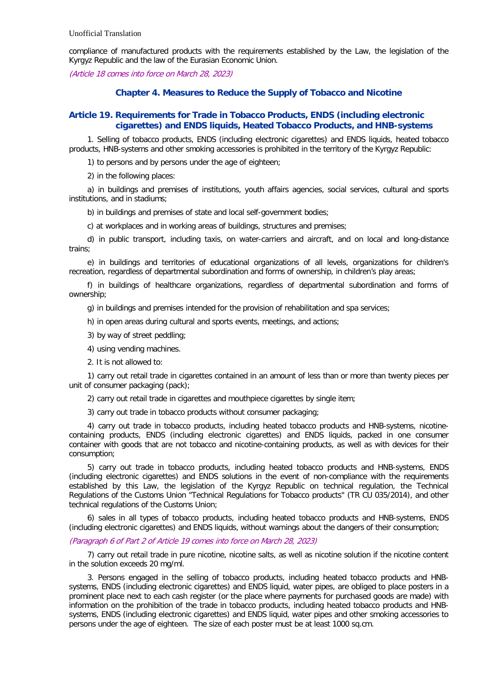compliance of manufactured products with the requirements established by the Law, the legislation of the Kyrgyz Republic and the law of the Eurasian Economic Union.

(Article 18 comes into force on March 28, 2023)

## **Chapter 4. Measures to Reduce the Supply of Tobacco and Nicotine**

## **Article 19. Requirements for Trade in Tobacco Products, ENDS (including electronic cigarettes) and ENDS liquids, Heated Tobacco Products, and HNB-systems**

1. Selling of tobacco products, ENDS (including electronic cigarettes) and ENDS liquids, heated tobacco products, HNB-systems and other smoking accessories is prohibited in the territory of the Kyrgyz Republic:

1) to persons and by persons under the age of eighteen;

2) in the following places:

a) in buildings and premises of institutions, youth affairs agencies, social services, cultural and sports institutions, and in stadiums;

b) in buildings and premises of state and local self-government bodies;

c) at workplaces and in working areas of buildings, structures and premises;

d) in public transport, including taxis, on water-carriers and aircraft, and on local and long-distance trains;

e) in buildings and territories of educational organizations of all levels, organizations for children's recreation, regardless of departmental subordination and forms of ownership, in children's play areas;

f) in buildings of healthcare organizations, regardless of departmental subordination and forms of ownership;

g) in buildings and premises intended for the provision of rehabilitation and spa services;

h) in open areas during cultural and sports events, meetings, and actions;

3) by way of street peddling;

4) using vending machines.

2. It is not allowed to:

1) carry out retail trade in cigarettes contained in an amount of less than or more than twenty pieces per unit of consumer packaging (pack);

2) carry out retail trade in cigarettes and mouthpiece cigarettes by single item;

3) carry out trade in tobacco products without consumer packaging;

4) carry out trade in tobacco products, including heated tobacco products and HNB-systems, nicotinecontaining products, ENDS (including electronic cigarettes) and ENDS liquids, packed in one consumer container with goods that are not tobacco and nicotine-containing products, as well as with devices for their consumption;

5) carry out trade in tobacco products, including heated tobacco products and HNB-systems, ENDS (including electronic cigarettes) and ENDS solutions in the event of non-compliance with the requirements established by this Law, the legislation of the Kyrgyz Republic on technical regulation, the Technical Regulations of the Customs Union "Technical Regulations for Tobacco products" (TR CU 035/2014), and other technical regulations of the Customs Union;

6) sales in all types of tobacco products, including heated tobacco products and HNB-systems, ENDS (including electronic cigarettes) and ENDS liquids, without warnings about the dangers of their consumption;

### (Paragraph 6 of Part 2 of Article 19 comes into force on March 28, 2023)

7) carry out retail trade in pure nicotine, nicotine salts, as well as nicotine solution if the nicotine content in the solution exceeds 20 mg/ml.

3. Persons engaged in the selling of tobacco products, including heated tobacco products and HNBsystems, ENDS (including electronic cigarettes) and ENDS liquid, water pipes, are obliged to place posters in a prominent place next to each cash register (or the place where payments for purchased goods are made) with information on the prohibition of the trade in tobacco products, including heated tobacco products and HNBsystems, ENDS (including electronic cigarettes) and ENDS liquid, water pipes and other smoking accessories to persons under the age of eighteen. The size of each poster must be at least 1000 sq.cm.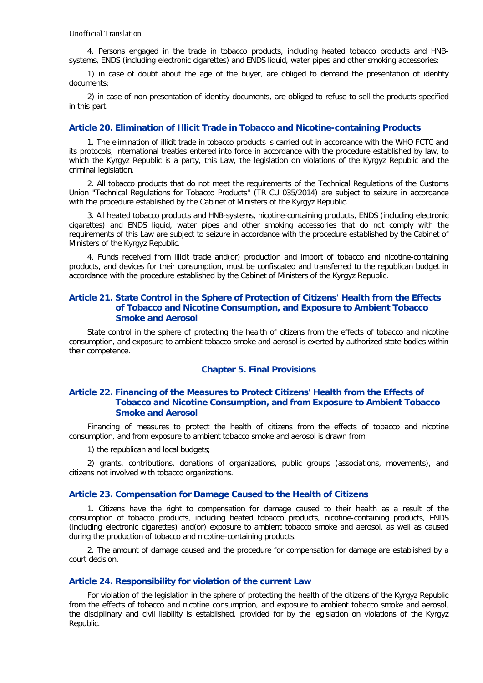4. Persons engaged in the trade in tobacco products, including heated tobacco products and HNBsystems, ENDS (including electronic cigarettes) and ENDS liquid, water pipes and other smoking accessories:

1) in case of doubt about the age of the buyer, are obliged to demand the presentation of identity documents;

2) in case of non-presentation of identity documents, are obliged to refuse to sell the products specified in this part.

### **Article 20. Elimination of Illicit Trade in Tobacco and Nicotine-containing Products**

1. The elimination of illicit trade in tobacco products is carried out in accordance with the WHO FCTC and its protocols, international treaties entered into force in accordance with the procedure established by law, to which the Kyrgyz Republic is a party, this Law, the legislation on violations of the Kyrgyz Republic and the criminal legislation.

2. All tobacco products that do not meet the requirements of the Technical Regulations of the Customs Union "Technical Regulations for Tobacco Products" (TR CU 035/2014) are subject to seizure in accordance with the procedure established by the Cabinet of Ministers of the Kyrgyz Republic.

3. All heated tobacco products and HNB-systems, nicotine-containing products, ENDS (including electronic cigarettes) and ENDS liquid, water pipes and other smoking accessories that do not comply with the requirements of this Law are subject to seizure in accordance with the procedure established by the Cabinet of Ministers of the Kyrgyz Republic.

4. Funds received from illicit trade and(or) production and import of tobacco and nicotine-containing products, and devices for their consumption, must be confiscated and transferred to the republican budget in accordance with the procedure established by the Cabinet of Ministers of the Kyrgyz Republic.

## **Article 21. State Control in the Sphere of Protection of Citizens' Health from the Effects of Tobacco and Nicotine Consumption, and Exposure to Ambient Tobacco Smoke and Aerosol**

State control in the sphere of protecting the health of citizens from the effects of tobacco and nicotine consumption, and exposure to ambient tobacco smoke and aerosol is exerted by authorized state bodies within their competence.

## **Chapter 5. Final Provisions**

## **Article 22. Financing of the Measures to Protect Citizens' Health from the Effects of Tobacco and Nicotine Consumption, and from Exposure to Ambient Tobacco Smoke and Aerosol**

Financing of measures to protect the health of citizens from the effects of tobacco and nicotine consumption, and from exposure to ambient tobacco smoke and aerosol is drawn from:

1) the republican and local budgets;

2) grants, contributions, donations of organizations, public groups (associations, movements), and citizens not involved with tobacco organizations.

### **Article 23. Compensation for Damage Caused to the Health of Citizens**

1. Citizens have the right to compensation for damage caused to their health as a result of the consumption of tobacco products, including heated tobacco products, nicotine-containing products, ENDS (including electronic cigarettes) and(or) exposure to ambient tobacco smoke and aerosol, as well as caused during the production of tobacco and nicotine-containing products.

2. The amount of damage caused and the procedure for compensation for damage are established by a court decision.

### **Article 24. Responsibility for violation of the current Law**

For violation of the legislation in the sphere of protecting the health of the citizens of the Kyrgyz Republic from the effects of tobacco and nicotine consumption, and exposure to ambient tobacco smoke and aerosol, the disciplinary and civil liability is established, provided for by the legislation on violations of the Kyrgyz Republic.